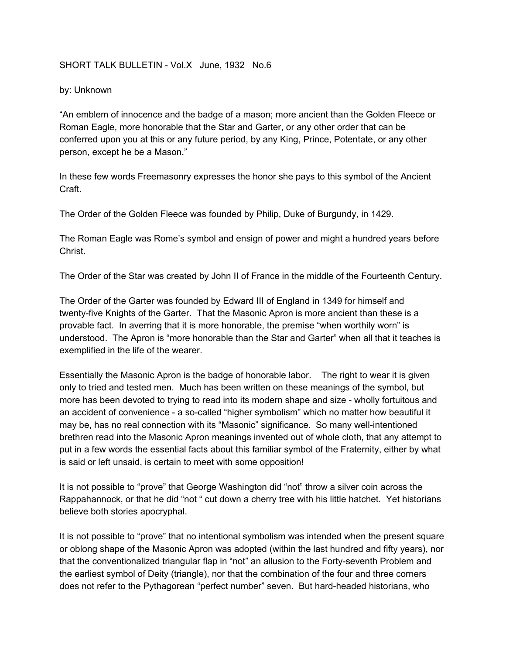## SHORT TALK BULLETIN - Vol.X June, 1932 No.6

## by: Unknown

"An emblem of innocence and the badge of a mason; more ancient than the Golden Fleece or Roman Eagle, more honorable that the Star and Garter, or any other order that can be conferred upon you at this or any future period, by any King, Prince, Potentate, or any other person, except he be a Mason."

In these few words Freemasonry expresses the honor she pays to this symbol of the Ancient Craft.

The Order of the Golden Fleece was founded by Philip, Duke of Burgundy, in 1429.

The Roman Eagle was Rome's symbol and ensign of power and might a hundred years before Christ.

The Order of the Star was created by John II of France in the middle of the Fourteenth Century.

The Order of the Garter was founded by Edward III of England in 1349 for himself and twenty-five Knights of the Garter. That the Masonic Apron is more ancient than these is a provable fact. In averring that it is more honorable, the premise "when worthily worn" is understood. The Apron is "more honorable than the Star and Garter" when all that it teaches is exemplified in the life of the wearer.

Essentially the Masonic Apron is the badge of honorable labor. The right to wear it is given only to tried and tested men. Much has been written on these meanings of the symbol, but more has been devoted to trying to read into its modern shape and size - wholly fortuitous and an accident of convenience - a so-called "higher symbolism" which no matter how beautiful it may be, has no real connection with its "Masonic" significance. So many well-intentioned brethren read into the Masonic Apron meanings invented out of whole cloth, that any attempt to put in a few words the essential facts about this familiar symbol of the Fraternity, either by what is said or left unsaid, is certain to meet with some opposition!

It is not possible to "prove" that George Washington did "not" throw a silver coin across the Rappahannock, or that he did "not " cut down a cherry tree with his little hatchet. Yet historians believe both stories apocryphal.

It is not possible to "prove" that no intentional symbolism was intended when the present square or oblong shape of the Masonic Apron was adopted (within the last hundred and fifty years), nor that the conventionalized triangular flap in "not" an allusion to the Forty-seventh Problem and the earliest symbol of Deity (triangle), nor that the combination of the four and three corners does not refer to the Pythagorean "perfect number" seven. But hard-headed historians, who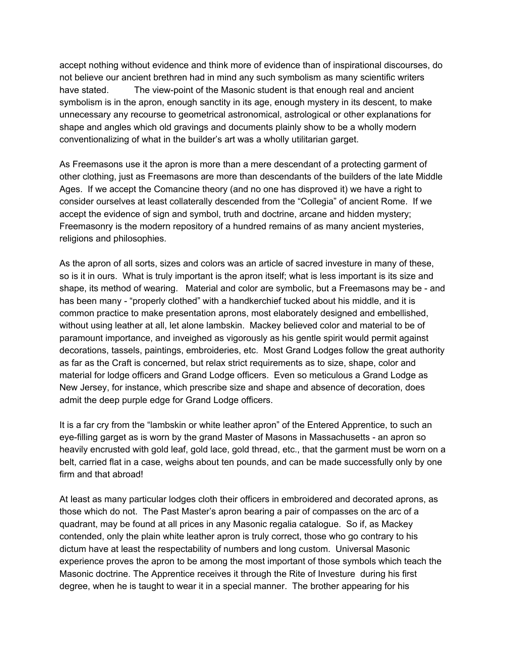accept nothing without evidence and think more of evidence than of inspirational discourses, do not believe our ancient brethren had in mind any such symbolism as many scientific writers have stated. The view-point of the Masonic student is that enough real and ancient symbolism is in the apron, enough sanctity in its age, enough mystery in its descent, to make unnecessary any recourse to geometrical astronomical, astrological or other explanations for shape and angles which old gravings and documents plainly show to be a wholly modern conventionalizing of what in the builder's art was a wholly utilitarian garget.

As Freemasons use it the apron is more than a mere descendant of a protecting garment of other clothing, just as Freemasons are more than descendants of the builders of the late Middle Ages. If we accept the Comancine theory (and no one has disproved it) we have a right to consider ourselves at least collaterally descended from the "Collegia" of ancient Rome. If we accept the evidence of sign and symbol, truth and doctrine, arcane and hidden mystery; Freemasonry is the modern repository of a hundred remains of as many ancient mysteries, religions and philosophies.

As the apron of all sorts, sizes and colors was an article of sacred investure in many of these, so is it in ours. What is truly important is the apron itself; what is less important is its size and shape, its method of wearing. Material and color are symbolic, but a Freemasons may be - and has been many - "properly clothed" with a handkerchief tucked about his middle, and it is common practice to make presentation aprons, most elaborately designed and embellished, without using leather at all, let alone lambskin. Mackey believed color and material to be of paramount importance, and inveighed as vigorously as his gentle spirit would permit against decorations, tassels, paintings, embroideries, etc. Most Grand Lodges follow the great authority as far as the Craft is concerned, but relax strict requirements as to size, shape, color and material for lodge officers and Grand Lodge officers. Even so meticulous a Grand Lodge as New Jersey, for instance, which prescribe size and shape and absence of decoration, does admit the deep purple edge for Grand Lodge officers.

It is a far cry from the "lambskin or white leather apron" of the Entered Apprentice, to such an eye-filling garget as is worn by the grand Master of Masons in Massachusetts - an apron so heavily encrusted with gold leaf, gold lace, gold thread, etc., that the garment must be worn on a belt, carried flat in a case, weighs about ten pounds, and can be made successfully only by one firm and that abroad!

At least as many particular lodges cloth their officers in embroidered and decorated aprons, as those which do not. The Past Master's apron bearing a pair of compasses on the arc of a quadrant, may be found at all prices in any Masonic regalia catalogue. So if, as Mackey contended, only the plain white leather apron is truly correct, those who go contrary to his dictum have at least the respectability of numbers and long custom. Universal Masonic experience proves the apron to be among the most important of those symbols which teach the Masonic doctrine. The Apprentice receives it through the Rite of Investure during his first degree, when he is taught to wear it in a special manner. The brother appearing for his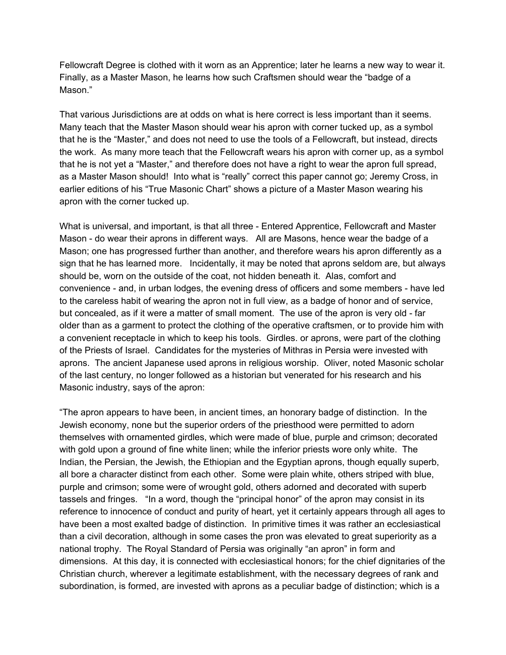Fellowcraft Degree is clothed with it worn as an Apprentice; later he learns a new way to wear it. Finally, as a Master Mason, he learns how such Craftsmen should wear the "badge of a Mason."

That various Jurisdictions are at odds on what is here correct is less important than it seems. Many teach that the Master Mason should wear his apron with corner tucked up, as a symbol that he is the "Master," and does not need to use the tools of a Fellowcraft, but instead, directs the work. As many more teach that the Fellowcraft wears his apron with corner up, as a symbol that he is not yet a "Master," and therefore does not have a right to wear the apron full spread, as a Master Mason should! Into what is "really" correct this paper cannot go; Jeremy Cross, in earlier editions of his "True Masonic Chart" shows a picture of a Master Mason wearing his apron with the corner tucked up.

What is universal, and important, is that all three - Entered Apprentice, Fellowcraft and Master Mason - do wear their aprons in different ways. All are Masons, hence wear the badge of a Mason; one has progressed further than another, and therefore wears his apron differently as a sign that he has learned more. Incidentally, it may be noted that aprons seldom are, but always should be, worn on the outside of the coat, not hidden beneath it. Alas, comfort and convenience - and, in urban lodges, the evening dress of officers and some members - have led to the careless habit of wearing the apron not in full view, as a badge of honor and of service, but concealed, as if it were a matter of small moment. The use of the apron is very old - far older than as a garment to protect the clothing of the operative craftsmen, or to provide him with a convenient receptacle in which to keep his tools. Girdles. or aprons, were part of the clothing of the Priests of Israel. Candidates for the mysteries of Mithras in Persia were invested with aprons. The ancient Japanese used aprons in religious worship. Oliver, noted Masonic scholar of the last century, no longer followed as a historian but venerated for his research and his Masonic industry, says of the apron:

"The apron appears to have been, in ancient times, an honorary badge of distinction. In the Jewish economy, none but the superior orders of the priesthood were permitted to adorn themselves with ornamented girdles, which were made of blue, purple and crimson; decorated with gold upon a ground of fine white linen; while the inferior priests wore only white. The Indian, the Persian, the Jewish, the Ethiopian and the Egyptian aprons, though equally superb, all bore a character distinct from each other. Some were plain white, others striped with blue, purple and crimson; some were of wrought gold, others adorned and decorated with superb tassels and fringes. "In a word, though the "principal honor" of the apron may consist in its reference to innocence of conduct and purity of heart, yet it certainly appears through all ages to have been a most exalted badge of distinction. In primitive times it was rather an ecclesiastical than a civil decoration, although in some cases the pron was elevated to great superiority as a national trophy. The Royal Standard of Persia was originally "an apron" in form and dimensions. At this day, it is connected with ecclesiastical honors; for the chief dignitaries of the Christian church, wherever a legitimate establishment, with the necessary degrees of rank and subordination, is formed, are invested with aprons as a peculiar badge of distinction; which is a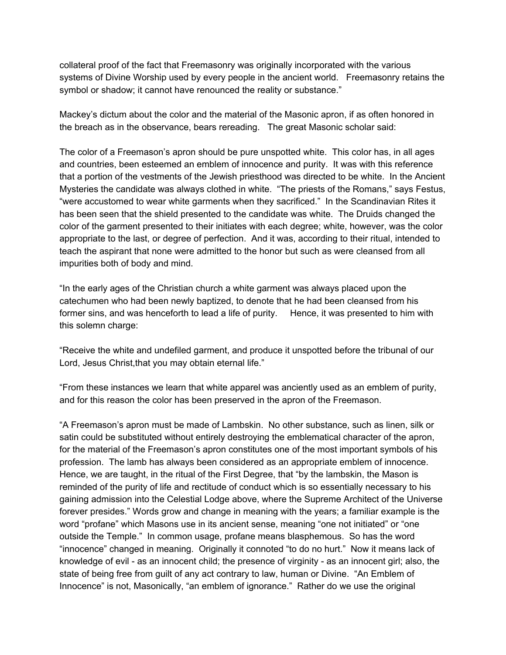collateral proof of the fact that Freemasonry was originally incorporated with the various systems of Divine Worship used by every people in the ancient world. Freemasonry retains the symbol or shadow; it cannot have renounced the reality or substance."

Mackey's dictum about the color and the material of the Masonic apron, if as often honored in the breach as in the observance, bears rereading. The great Masonic scholar said:

The color of a Freemason's apron should be pure unspotted white. This color has, in all ages and countries, been esteemed an emblem of innocence and purity. It was with this reference that a portion of the vestments of the Jewish priesthood was directed to be white. In the Ancient Mysteries the candidate was always clothed in white. "The priests of the Romans," says Festus, "were accustomed to wear white garments when they sacrificed." In the Scandinavian Rites it has been seen that the shield presented to the candidate was white. The Druids changed the color of the garment presented to their initiates with each degree; white, however, was the color appropriate to the last, or degree of perfection. And it was, according to their ritual, intended to teach the aspirant that none were admitted to the honor but such as were cleansed from all impurities both of body and mind.

"In the early ages of the Christian church a white garment was always placed upon the catechumen who had been newly baptized, to denote that he had been cleansed from his former sins, and was henceforth to lead a life of purity. Hence, it was presented to him with this solemn charge:

"Receive the white and undefiled garment, and produce it unspotted before the tribunal of our Lord, Jesus Christ, that you may obtain eternal life."

"From these instances we learn that white apparel was anciently used as an emblem of purity, and for this reason the color has been preserved in the apron of the Freemason.

"A Freemason's apron must be made of Lambskin. No other substance, such as linen, silk or satin could be substituted without entirely destroying the emblematical character of the apron, for the material of the Freemason's apron constitutes one of the most important symbols of his profession. The lamb has always been considered as an appropriate emblem of innocence. Hence, we are taught, in the ritual of the First Degree, that "by the lambskin, the Mason is reminded of the purity of life and rectitude of conduct which is so essentially necessary to his gaining admission into the Celestial Lodge above, where the Supreme Architect of the Universe forever presides." Words grow and change in meaning with the years; a familiar example is the word "profane" which Masons use in its ancient sense, meaning "one not initiated" or "one outside the Temple." In common usage, profane means blasphemous. So has the word "innocence" changed in meaning. Originally it connoted "to do no hurt." Now it means lack of knowledge of evil - as an innocent child; the presence of virginity - as an innocent girl; also, the state of being free from guilt of any act contrary to law, human or Divine. "An Emblem of Innocence" is not, Masonically, "an emblem of ignorance." Rather do we use the original